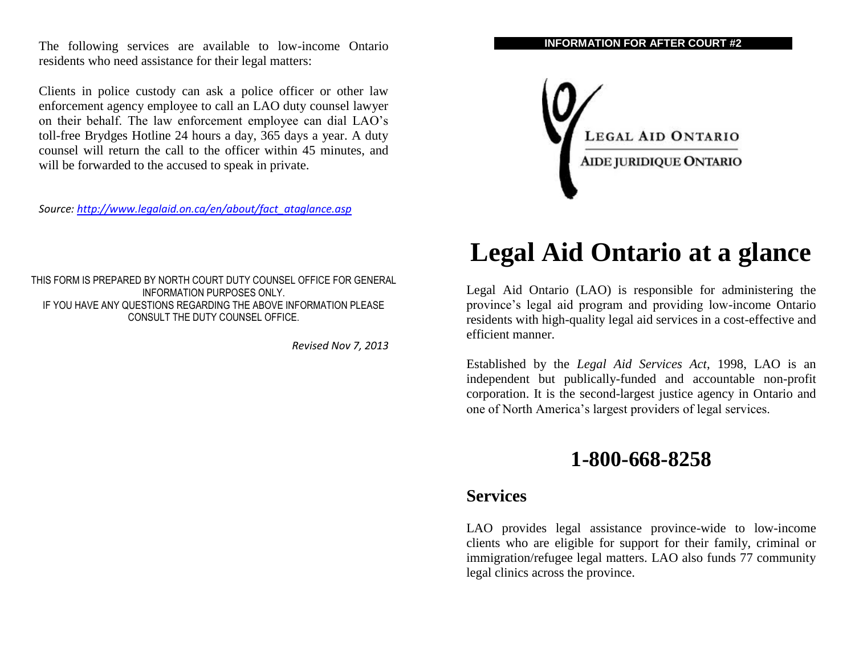The following services are available to low-income Ontario residents who need assistance for their legal matters:

Clients in police custody can ask a police officer or other law enforcement agency employee to call an LAO duty counsel lawyer on their behalf. The law enforcement employee can dial LAO's toll-free Brydges Hotline 24 hours a day, 365 days a year. A duty counsel will return the call to the officer within 45 minutes, and will be forwarded to the accused to speak in private.

*Source: [http://www.legalaid.on.ca/en/about/fact\\_ataglance.asp](http://www.legalaid.on.ca/en/about/fact_ataglance.asp)*

THIS FORM IS PREPARED BY NORTH COURT DUTY COUNSEL OFFICE FOR GENERAL INFORMATION PURPOSES ONLY. IF YOU HAVE ANY QUESTIONS REGARDING THE ABOVE INFORMATION PLEASE CONSULT THE DUTY COUNSEL OFFICE.

*Revised Nov 7, 2013*

#### **INFORMATION FOR AFTER COURT #2**



# **Legal Aid Ontario at a glance**

Legal Aid Ontario (LAO) is responsible for administering the province's legal aid program and providing low-income Ontario residents with high-quality legal aid services in a cost-effective and efficient manner.

Established by the *Legal Aid Services Act*, 1998, LAO is an independent but publically-funded and accountable non-profit corporation. It is the second-largest justice agency in Ontario and one of North America's largest providers of legal services.

# **1-800-668-8258**

### **Services**

LAO provides legal assistance province-wide to low-income clients who are eligible for support for their family, criminal or immigration/refugee legal matters. LAO also funds 77 community legal clinics across the province.